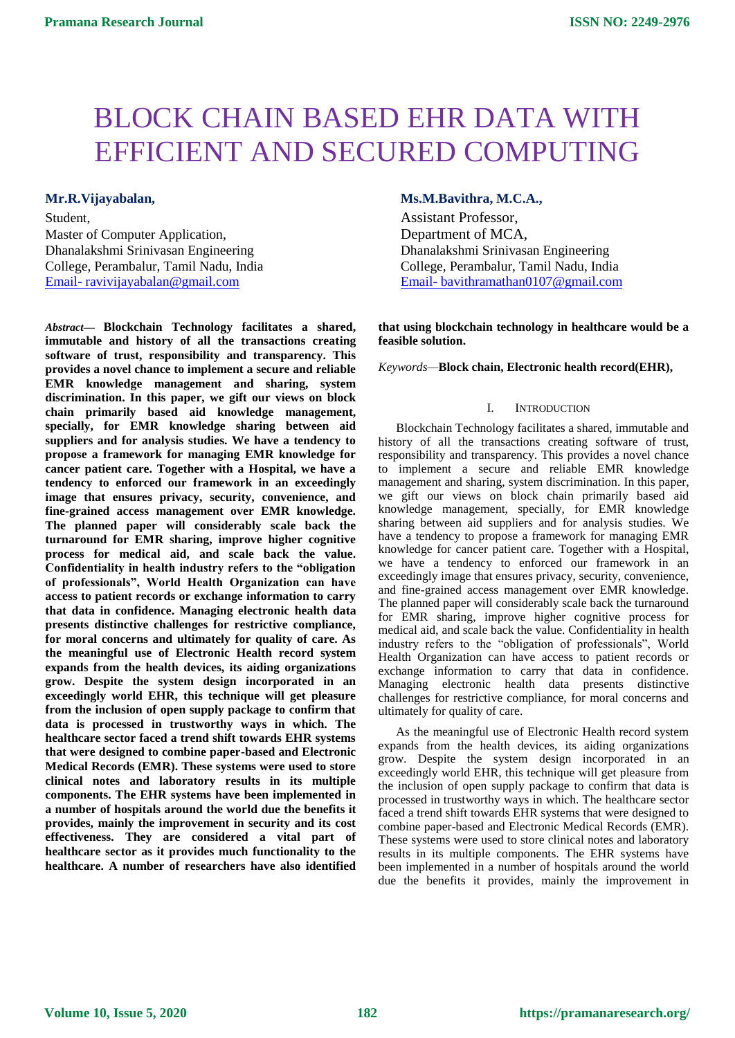# BLOCK CHAIN BASED EHR DATA WITH EFFICIENT AND SECURED COMPUTING

Student, Assistant Professor, Master of Computer Application, Department of MCA, Dhanalakshmi Srinivasan Engineering Dhanalakshmi Srinivasan Engineering

*Abstract***— Blockchain Technology facilitates a shared, immutable and history of all the transactions creating software of trust, responsibility and transparency. This provides a novel chance to implement a secure and reliable EMR knowledge management and sharing, system discrimination. In this paper, we gift our views on block chain primarily based aid knowledge management, specially, for EMR knowledge sharing between aid suppliers and for analysis studies. We have a tendency to propose a framework for managing EMR knowledge for cancer patient care. Together with a Hospital, we have a tendency to enforced our framework in an exceedingly image that ensures privacy, security, convenience, and fine-grained access management over EMR knowledge. The planned paper will considerably scale back the turnaround for EMR sharing, improve higher cognitive process for medical aid, and scale back the value. Confidentiality in health industry refers to the "obligation of professionals", World Health Organization can have access to patient records or exchange information to carry that data in confidence. Managing electronic health data presents distinctive challenges for restrictive compliance, for moral concerns and ultimately for quality of care. As the meaningful use of Electronic Health record system expands from the health devices, its aiding organizations grow. Despite the system design incorporated in an exceedingly world EHR, this technique will get pleasure from the inclusion of open supply package to confirm that data is processed in trustworthy ways in which. The healthcare sector faced a trend shift towards EHR systems that were designed to combine paper-based and Electronic Medical Records (EMR). These systems were used to store clinical notes and laboratory results in its multiple components. The EHR systems have been implemented in a number of hospitals around the world due the benefits it provides, mainly the improvement in security and its cost effectiveness. They are considered a vital part of healthcare sector as it provides much functionality to the healthcare. A number of researchers have also identified** 

Mr.R.Vijayabalan, **Mr.R.Vijayabalan, M.C.A.,** *Ms.M.Bavithra, M.C.A.***,** *Ms.M.Bavithra, M.C.A.***,** 

College, Perambalur, Tamil Nadu, India College, Perambalur, Tamil Nadu, India Email- [ravivijayabalan@gmail.com](mailto:Email-%20ajithkumarsuccess@gmail.com) Email- [bavithramathan0107@gmail.com](mailto:Email-%20bavithramathan0107@gmail.com)

> **that using blockchain technology in healthcare would be a feasible solution.**

*Keywords—***Block chain, Electronic health record(EHR),**

# I. INTRODUCTION

Blockchain Technology facilitates a shared, immutable and history of all the transactions creating software of trust, responsibility and transparency. This provides a novel chance to implement a secure and reliable EMR knowledge management and sharing, system discrimination. In this paper, we gift our views on block chain primarily based aid knowledge management, specially, for EMR knowledge sharing between aid suppliers and for analysis studies. We have a tendency to propose a framework for managing EMR knowledge for cancer patient care. Together with a Hospital, we have a tendency to enforced our framework in an exceedingly image that ensures privacy, security, convenience, and fine-grained access management over EMR knowledge. The planned paper will considerably scale back the turnaround for EMR sharing, improve higher cognitive process for medical aid, and scale back the value. Confidentiality in health industry refers to the "obligation of professionals", World Health Organization can have access to patient records or exchange information to carry that data in confidence. Managing electronic health data presents distinctive challenges for restrictive compliance, for moral concerns and ultimately for quality of care.

As the meaningful use of Electronic Health record system expands from the health devices, its aiding organizations grow. Despite the system design incorporated in an exceedingly world EHR, this technique will get pleasure from the inclusion of open supply package to confirm that data is processed in trustworthy ways in which. The healthcare sector faced a trend shift towards EHR systems that were designed to combine paper-based and Electronic Medical Records (EMR). These systems were used to store clinical notes and laboratory results in its multiple components. The EHR systems have been implemented in a number of hospitals around the world due the benefits it provides, mainly the improvement in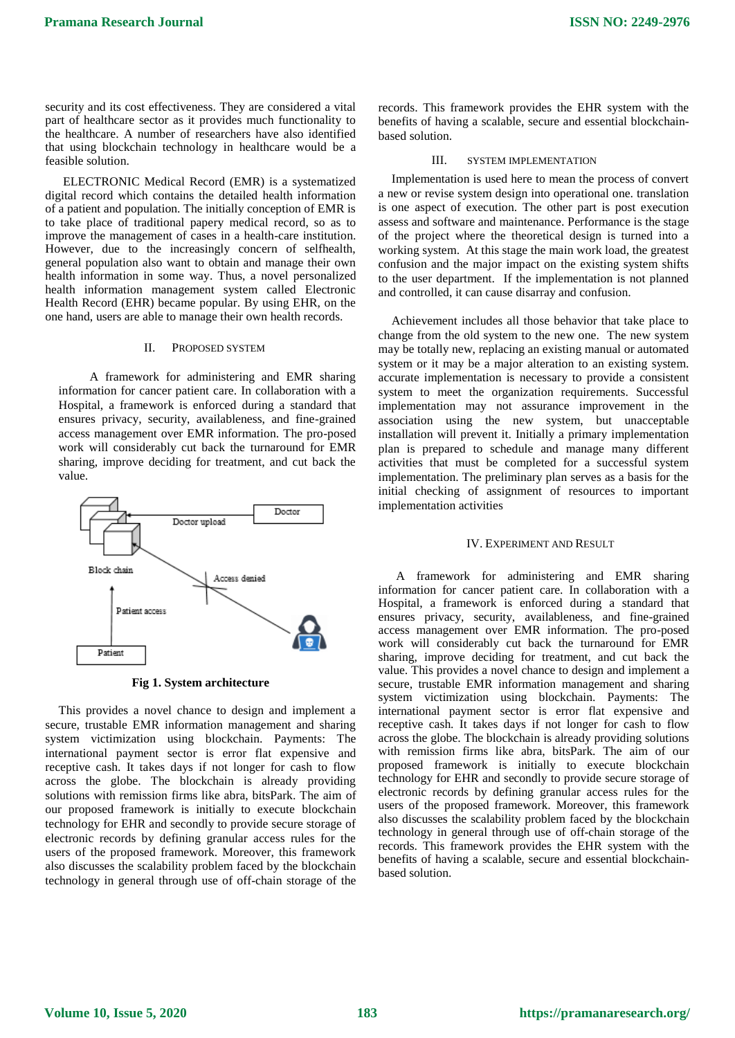security and its cost effectiveness. They are considered a vital part of healthcare sector as it provides much functionality to the healthcare. A number of researchers have also identified that using blockchain technology in healthcare would be a feasible solution.

ELECTRONIC Medical Record (EMR) is a systematized digital record which contains the detailed health information of a patient and population. The initially conception of EMR is to take place of traditional papery medical record, so as to improve the management of cases in a health-care institution. However, due to the increasingly concern of selfhealth, general population also want to obtain and manage their own health information in some way. Thus, a novel personalized health information management system called Electronic Health Record (EHR) became popular. By using EHR, on the one hand, users are able to manage their own health records.

#### II. PROPOSED SYSTEM

A framework for administering and EMR sharing information for cancer patient care. In collaboration with a Hospital, a framework is enforced during a standard that ensures privacy, security, availableness, and fine-grained access management over EMR information. The pro-posed work will considerably cut back the turnaround for EMR sharing, improve deciding for treatment, and cut back the value.



**Fig 1. System architecture**

This provides a novel chance to design and implement a secure, trustable EMR information management and sharing system victimization using blockchain. Payments: The international payment sector is error flat expensive and receptive cash. It takes days if not longer for cash to flow across the globe. The blockchain is already providing solutions with remission firms like abra, bitsPark. The aim of our proposed framework is initially to execute blockchain technology for EHR and secondly to provide secure storage of electronic records by defining granular access rules for the users of the proposed framework. Moreover, this framework also discusses the scalability problem faced by the blockchain technology in general through use of off-chain storage of the records. This framework provides the EHR system with the benefits of having a scalable, secure and essential blockchainbased solution.

## III. SYSTEM IMPLEMENTATION

Implementation is used here to mean the process of convert a new or revise system design into operational one. translation is one aspect of execution. The other part is post execution assess and software and maintenance. Performance is the stage of the project where the theoretical design is turned into a working system. At this stage the main work load, the greatest confusion and the major impact on the existing system shifts to the user department. If the implementation is not planned and controlled, it can cause disarray and confusion.

Achievement includes all those behavior that take place to change from the old system to the new one. The new system may be totally new, replacing an existing manual or automated system or it may be a major alteration to an existing system. accurate implementation is necessary to provide a consistent system to meet the organization requirements. Successful implementation may not assurance improvement in the association using the new system, but unacceptable installation will prevent it. Initially a primary implementation plan is prepared to schedule and manage many different activities that must be completed for a successful system implementation. The preliminary plan serves as a basis for the initial checking of assignment of resources to important implementation activities

#### IV. EXPERIMENT AND RESULT

A framework for administering and EMR sharing information for cancer patient care. In collaboration with a Hospital, a framework is enforced during a standard that ensures privacy, security, availableness, and fine-grained access management over EMR information. The pro-posed work will considerably cut back the turnaround for EMR sharing, improve deciding for treatment, and cut back the value. This provides a novel chance to design and implement a secure, trustable EMR information management and sharing system victimization using blockchain. Payments: The international payment sector is error flat expensive and receptive cash. It takes days if not longer for cash to flow across the globe. The blockchain is already providing solutions with remission firms like abra, bitsPark. The aim of our proposed framework is initially to execute blockchain technology for EHR and secondly to provide secure storage of electronic records by defining granular access rules for the users of the proposed framework. Moreover, this framework also discusses the scalability problem faced by the blockchain technology in general through use of off-chain storage of the records. This framework provides the EHR system with the benefits of having a scalable, secure and essential blockchainbased solution.